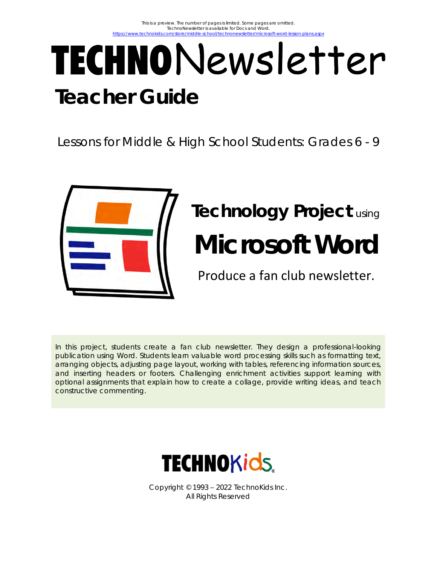# TECHNONewsletter **Teacher Guide**

Lessons for Middle & High School Students: Grades 6 - 9



# **Technology Project** using **Microsoft Word**

Produce a fan club newsletter.

In this project, students create a fan club newsletter. They design a professional-looking publication using Word. Students learn valuable word processing skills such as formatting text, arranging objects, adjusting page layout, working with tables, referencing information sources, and inserting headers or footers. Challenging enrichment activities support learning with optional assignments that explain how to create a collage, provide writing ideas, and teach constructive commenting.



Copyright © 1993 – 2022 TechnoKids Inc. All Rights Reserved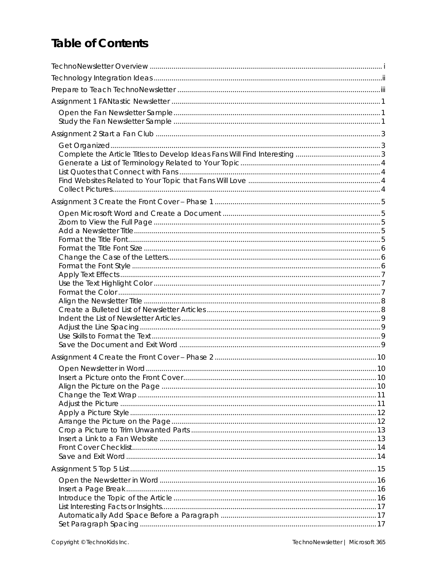## **Table of Contents**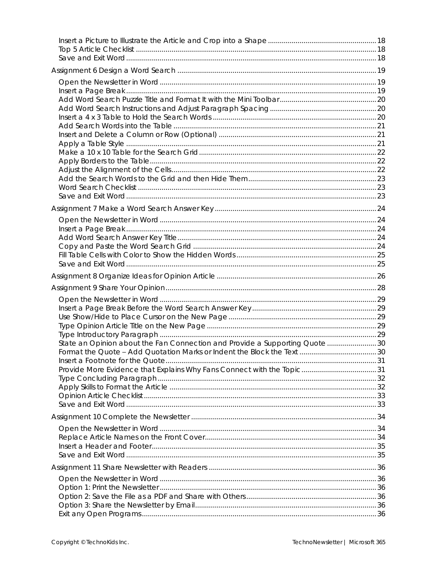| State an Opinion about the Fan Connection and Provide a Supporting Quote 30 |  |
|-----------------------------------------------------------------------------|--|
|                                                                             |  |
|                                                                             |  |
|                                                                             |  |
|                                                                             |  |
|                                                                             |  |
|                                                                             |  |
|                                                                             |  |
|                                                                             |  |
|                                                                             |  |
|                                                                             |  |
|                                                                             |  |
|                                                                             |  |
|                                                                             |  |
|                                                                             |  |
|                                                                             |  |
|                                                                             |  |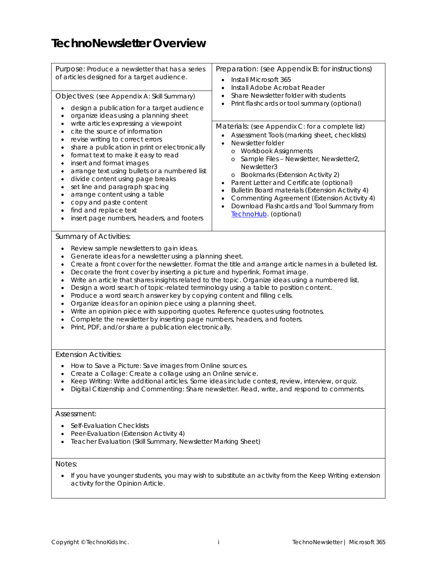## <span id="page-4-0"></span>**TechnoNewsletter Overview**

| Purpose: Produce a newsletter that has a series<br>of articles designed for a target audience.                                                                                                                                                                                                                                                                                                                                                                                                                                                                                                                                                                                               | Preparation: (see Appendix B: for instructions)<br>Install Microsoft 365<br>$\bullet$<br>Install Adobe Acrobat Reader                                                                                                                                                                                                                                                                                                                                                                                         |  |  |
|----------------------------------------------------------------------------------------------------------------------------------------------------------------------------------------------------------------------------------------------------------------------------------------------------------------------------------------------------------------------------------------------------------------------------------------------------------------------------------------------------------------------------------------------------------------------------------------------------------------------------------------------------------------------------------------------|---------------------------------------------------------------------------------------------------------------------------------------------------------------------------------------------------------------------------------------------------------------------------------------------------------------------------------------------------------------------------------------------------------------------------------------------------------------------------------------------------------------|--|--|
| Objectives: (see Appendix A: Skill Summary)                                                                                                                                                                                                                                                                                                                                                                                                                                                                                                                                                                                                                                                  | Share Newsletter folder with students                                                                                                                                                                                                                                                                                                                                                                                                                                                                         |  |  |
| design a publication for a target audience<br>$\bullet$<br>organize ideas using a planning sheet<br>$\bullet$                                                                                                                                                                                                                                                                                                                                                                                                                                                                                                                                                                                | Print flashcards or tool summary (optional)                                                                                                                                                                                                                                                                                                                                                                                                                                                                   |  |  |
| write articles expressing a viewpoint<br>$\bullet$<br>cite the source of information<br>$\bullet$<br>revise writing to correct errors<br>$\bullet$<br>share a publication in print or electronically<br>٠<br>format text to make it easy to read<br>$\bullet$<br>insert and format images<br>$\bullet$<br>arrange text using bullets or a numbered list<br>$\bullet$<br>divide content using page breaks<br>$\bullet$<br>set line and paragraph spacing<br>$\bullet$<br>arrange content using a table<br>$\bullet$<br>copy and paste content<br>$\bullet$<br>find and replace text<br>$\bullet$<br>insert page numbers, headers, and footers                                                 | Materials: (see Appendix C: for a complete list)<br>Assessment Tools (marking sheet, checklists)<br>$\bullet$<br>Newsletter folder<br>o Workbook Assignments<br>Sample Files - Newsletter, Newsletter2,<br>$\circ$<br>Newsletter3<br>o Bookmarks (Extension Activity 2)<br>Parent Letter and Certificate (optional)<br>Bulletin Board materials (Extension Activity 4)<br>٠<br>Commenting Agreement (Extension Activity 4)<br>$\bullet$<br>Download Flashcards and Tool Summary from<br>TechnoHub. (optional) |  |  |
| <b>Summary of Activities:</b>                                                                                                                                                                                                                                                                                                                                                                                                                                                                                                                                                                                                                                                                |                                                                                                                                                                                                                                                                                                                                                                                                                                                                                                               |  |  |
| Review sample newsletters to gain ideas.<br>$\bullet$                                                                                                                                                                                                                                                                                                                                                                                                                                                                                                                                                                                                                                        |                                                                                                                                                                                                                                                                                                                                                                                                                                                                                                               |  |  |
| Generate ideas for a newsletter using a planning sheet.<br>$\bullet$<br>$\bullet$<br>Decorate the front cover by inserting a picture and hyperlink. Format image.<br>$\bullet$<br>٠<br>Design a word search of topic-related terminology using a table to position content.<br>٠<br>Produce a word search answer key by copying content and filling cells.<br>٠<br>Organize ideas for an opinion piece using a planning sheet.<br>$\bullet$<br>Write an opinion piece with supporting quotes. Reference quotes using footnotes.<br>$\bullet$<br>Complete the newsletter by inserting page numbers, headers, and footers.<br>٠<br>Print, PDF, and/or share a publication electronically.<br>٠ | Create a front cover for the newsletter. Format the title and arrange article names in a bulleted list.<br>Write an article that shares insights related to the topic. Organize ideas using a numbered list.                                                                                                                                                                                                                                                                                                  |  |  |
| <b>Extension Activities:</b>                                                                                                                                                                                                                                                                                                                                                                                                                                                                                                                                                                                                                                                                 |                                                                                                                                                                                                                                                                                                                                                                                                                                                                                                               |  |  |
| How to Save a Picture: Save images from Online sources.<br>Create a Collage: Create a collage using an Online service.                                                                                                                                                                                                                                                                                                                                                                                                                                                                                                                                                                       | Keep Writing: Write additional articles. Some ideas include contest, review, interview, or quiz.<br>Digital Citizenship and Commenting: Share newsletter. Read, write, and respond to comments.                                                                                                                                                                                                                                                                                                               |  |  |
| Assessment:                                                                                                                                                                                                                                                                                                                                                                                                                                                                                                                                                                                                                                                                                  |                                                                                                                                                                                                                                                                                                                                                                                                                                                                                                               |  |  |
| Self-Evaluation Checklists<br>Peer-Evaluation (Extension Activity 4)<br>Teacher Evaluation (Skill Summary, Newsletter Marking Sheet)                                                                                                                                                                                                                                                                                                                                                                                                                                                                                                                                                         |                                                                                                                                                                                                                                                                                                                                                                                                                                                                                                               |  |  |
| Notes:                                                                                                                                                                                                                                                                                                                                                                                                                                                                                                                                                                                                                                                                                       |                                                                                                                                                                                                                                                                                                                                                                                                                                                                                                               |  |  |

• If you have younger students, you may wish to substitute an activity from the *Keep Writing* extension activity for the Opinion Article.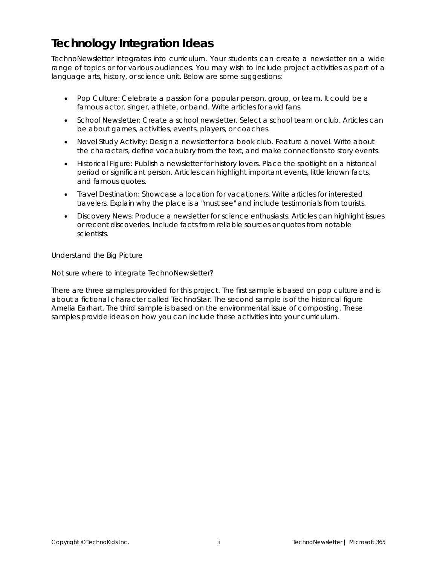## <span id="page-5-0"></span>**Technology Integration Ideas**

TechnoNewsletter integrates into curriculum. Your students can create a newsletter on a wide range of topics or for various audiences. You may wish to include project activities as part of a language arts, history, or science unit. Below are some suggestions:

- *Pop Culture:* Celebrate a passion for a popular person, group, or team. It could be a famous actor, singer, athlete, or band. Write articles for avid fans.
- *School Newsletter:* Create a school newsletter. Select a school team or club. Articles can be about games, activities, events, players, or coaches.
- *Novel Study Activity:* Design a newsletter for a book club. Feature a novel. Write about the characters, define vocabulary from the text, and make connections to story events.
- *Historical Figure:* Publish a newsletter for history lovers. Place the spotlight on a historical period or significant person. Articles can highlight important events, little known facts, and famous quotes.
- *Travel Destination:* Showcase a location for vacationers. Write articles for interested travelers. Explain why the place is a "must see" and include testimonials from tourists.
- *Discovery News:* Produce a newsletter for science enthusiasts. Articles can highlight issues or recent discoveries. Include facts from reliable sources or quotes from notable scientists.

*Understand the Big Picture*

Not sure where to integrate TechnoNewsletter?

There are three samples provided for this project. The first sample is based on pop culture and is about a fictional character called TechnoStar. The second sample is of the historical figure Amelia Earhart. The third sample is based on the environmental issue of composting. These samples provide ideas on how you can include these activities into your curriculum.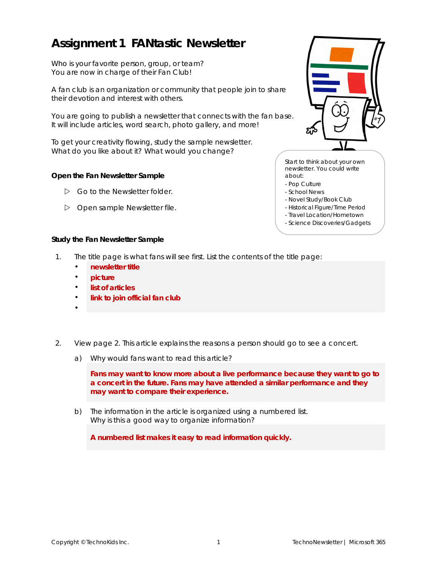## <span id="page-6-0"></span>**Assignment 1 FANtastic Newsletter**

Who is your favorite person, group, or team? You are now in charge of their Fan Club!

A fan club is an organization or community that people join to share their devotion and interest with others.

You are going to publish a newsletter that connects with the fan base. It will include articles, word search, photo gallery, and more!

To get your creativity flowing, study the sample newsletter. What do you like about it? What would you change?

<span id="page-6-1"></span>**Open the Fan Newsletter Sample**

- Go to the *Newsletter* folder.
- Open sample *Newsletter* file.



Start to think about your own newsletter. You could write about:

- Pop Culture
- School News
- Novel Study/Book Club
- Historical Figure/Time Period
- Travel Location/Hometown
- Science Discoveries/Gadgets

<span id="page-6-2"></span>**Study the Fan Newsletter Sample**

- 1. The title page is what fans will see first. List the contents of the title page:
	- **newsletter title**
	- **picture**
	- **list of articles**
	- **link to join official fan club**
	- •
- 2. View page 2. This article explains the reasons a person should go to see a concert.
	- a) Why would fans want to read this article?

**Fans may want to know more about a live performance because they want to go to a concert in the future. Fans may have attended a similar performance and they may want to compare their experience.**

b) The information in the article is organized using a numbered list. Why is this a good way to organize information?

**A numbered list makes it easy to read information quickly.**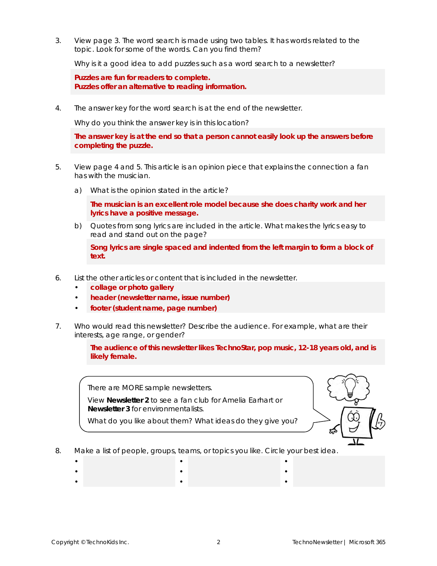3. View page 3. The word search is made using two tables. It has words related to the topic. Look for some of the words. Can you find them?

Why is it a good idea to add puzzles such as a word search to a newsletter?

**Puzzles are fun for readers to complete. Puzzles offer an alternative to reading information.**

4. The answer key for the word search is at the end of the newsletter.

Why do you think the answer key is in this location?

**The answer key is at the end so that a person cannot easily look up the answers before completing the puzzle.**

- 5. View page 4 and 5. This article is an opinion piece that explains the connection a fan has with the musician.
	- a) What is the opinion stated in the article?

**The musician is an excellent role model because she does charity work and her lyrics have a positive message.**

b) Quotes from song lyrics are included in the article. What makes the lyrics easy to read and stand out on the page?

**Song lyrics are single spaced and indented from the left margin to form a block of text.**

- 6. List the other articles or content that is included in the newsletter.
	- **collage or photo gallery**
	- **header (newsletter name, issue number)**
	- **footer (student name, page number)**
- 7. Who would read this newsletter? Describe the audience. For example, what are their interests, age range, or gender?

**The audience of this newsletter likes TechnoStar, pop music, 12-18 years old, and is likely female.**

There are MORE sample newsletters.

View **Newsletter 2** to see a fan club for *Amelia Earhart* or **Newsletter 3** for environmentalists.

What do you like about them? What ideas do they give you?



- 8. Make a list of people, groups, teams, or topics you like. Circle your best idea.
	- • • • •
	- • •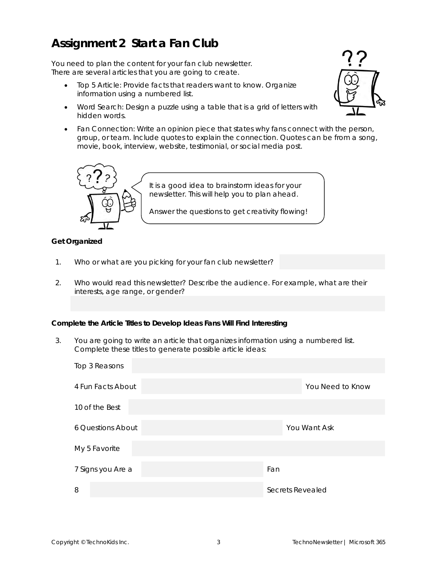## <span id="page-8-0"></span>**Assignment 2 Start a Fan Club**

You need to plan the content for your fan club newsletter. There are several articles that you are going to create.

- Top 5 Article: Provide facts that readers want to know. Organize information using a numbered list.
- Word Search: Design a puzzle using a table that is a grid of letters with hidden words.
- Fan Connection: Write an opinion piece that states why fans connect with the person, group, or team. Include quotes to explain the connection. Quotes can be from a song, movie, book, interview, website, testimonial, or social media post.



#### <span id="page-8-1"></span>**Get Organized**

- 1. Who or what are you picking for your fan club newsletter?
- 2. Who would read this newsletter? Describe the audience. For example, what are their interests, age range, or gender?

<span id="page-8-2"></span>**Complete the Article Titles to Develop Ideas Fans Will Find Interesting**

3. You are going to write an article that organizes information using a numbered list. Complete these titles to generate possible article ideas:

| Top 3 Reasons            |                  |
|--------------------------|------------------|
| 4 Fun Facts About        | You Need to Know |
| 10 of the Best           |                  |
| <b>6 Questions About</b> | You Want Ask     |
| My 5 Favorite            |                  |
| 7 Signs you Are a        | Fan              |
| 8                        | Secrets Revealed |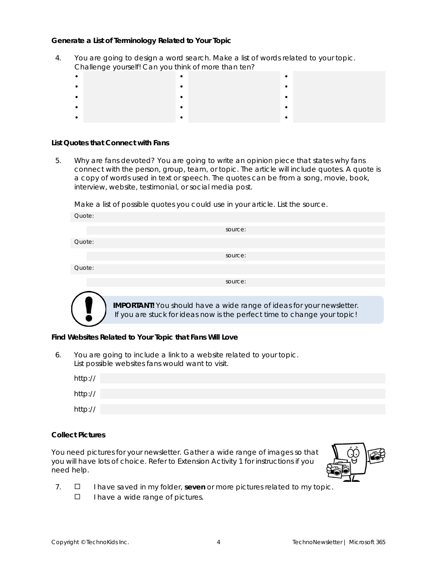<span id="page-9-0"></span>**Generate a List of Terminology Related to Your Topic**

4. You are going to design a word search. Make a list of words related to your topic. Challenge yourself! Can you think of more than ten?

<span id="page-9-1"></span>**List Quotes that Connect with Fans**

5. Why are fans devoted? You are going to write an opinion piece that states why fans connect with the person, group, team, or topic. The article will include quotes. A quote is a copy of words used in text or speech. The quotes can be from a song, movie, book, interview, website, testimonial, or social media post.

Make a list of possible quotes you could use in your article. List the source.

| Quote: |                                                                      |
|--------|----------------------------------------------------------------------|
|        | source:                                                              |
| Quote: |                                                                      |
|        | source:                                                              |
| Quote: |                                                                      |
|        | source:                                                              |
|        |                                                                      |
|        | IMPOPTANTI You should have a wide range of ideas for your pewsletter |

should have a wide range of ideas for your newsletter. If you are stuck for ideas now is the perfect time to change your topic!

<span id="page-9-2"></span>**Find Websites Related to Your Topic that Fans Will Love**

6. You are going to include a link to a website related to your topic. List possible websites fans would want to visit.

| http:// |  |
|---------|--|
| http:// |  |
| http:// |  |

<span id="page-9-3"></span>**Collect Pictures**

You need pictures for your newsletter. Gather a wide range of images so that you will have lots of choice. Refer to *Extension Activity 1* for instructions if you need help.



- 7.  $\Box$  I have saved in my folder, seven or more pictures related to my topic.
	- $\Box$  I have a wide range of pictures.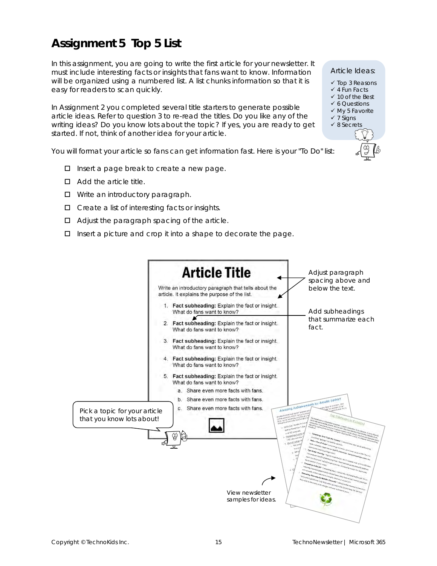## <span id="page-10-0"></span>**Assignment 5 Top 5 List**

In this assignment, you are going to write the first article for your newsletter. It must include interesting facts or insights that fans want to know. Information will be organized using a numbered list. A list chunks information so that it is easy for readers to scan quickly.

In Assignment 2 you completed several title starters to generate possible article ideas. Refer to question 3 to re-read the titles. Do you like any of the writing ideas? Do you know lots about the topic? If yes, you are ready to get started. If not, think of another idea for your article.

You will format your article so fans can get information fast. Here is your "To Do" list:

- $\Box$  Insert a page break to create a new page.
- $\Box$  Add the article title.
- □ Write an introductory paragraph.
- $\Box$  Create a list of interesting facts or insights.
- $\Box$  Adjust the paragraph spacing of the article.
- $\Box$  Insert a picture and crop it into a shape to decorate the page.



- ✓ Top 3 Reasons
- ✓ 4 Fun Facts
- ✓ 10 of the Best
- ✓ 6 Questions
- ✓ My 5 Favorite ✓ 7 Signs
- ✓ 8 Secrets
	-



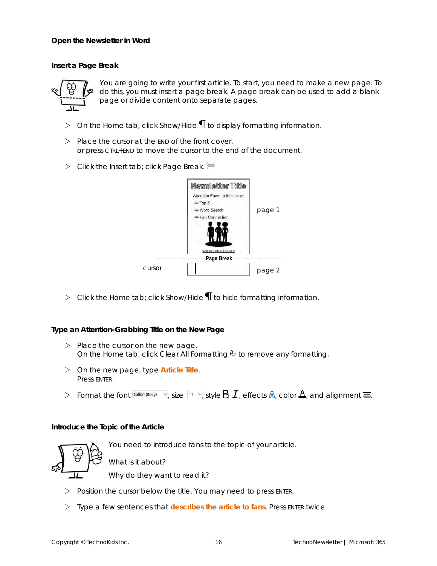<span id="page-11-0"></span>**Open the Newsletter in Word**

<span id="page-11-1"></span>**Insert a Page Break**



You are going to write your first article. To start, you need to make a new page. To do this, you must insert a page break. A page break can be used to add a blank page or divide content onto separate pages.

- On the *Home* tab, click *Show/Hide* to display formatting information.
- $\triangleright$  Place the cursor at the END of the front cover. or press CTRL+END to move the cursor to the end of the document.
- Click the *Insert* tab; click *Page Break*.



Click the *Home* tab; click *Show/Hide* to hide formatting information.

**Type an Attention-Grabbing Title on the New Page**

- $\triangleright$  Place the cursor on the new page. On the *Home* tab, click Clear All Formatting  $\frac{A}{2}$  to remove any formatting.
- On the new page, type **Article Title**. Press ENTER.
- Format the font  $\frac{[C_{\text{dilbri}}(B_{\text{odd}})]}{\sqrt{2}}$ , size  $\frac{[11, 21]}{2}$ , style **B**  $I$ , effects **A**, color **A**, and alignment  $\equiv$ .

<span id="page-11-2"></span>**Introduce the Topic of the Article**

You need to introduce fans to the topic of your article.



What is it about?

Why do they want to read it?

- $\triangleright$  Position the cursor below the title. You may need to press ENTER.
- Type a few sentences that **describes the article to fans**. Press ENTER twice.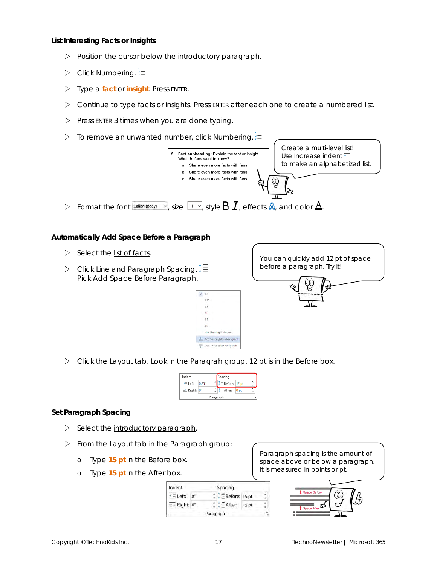<span id="page-12-0"></span>**List Interesting Facts or Insights**

- $\triangleright$  Position the cursor below the introductory paragraph.
- $\triangleright$  Click Numbering.  $\frac{1}{3}$
- Type a **fact** or **insight**. Press ENTER.
- $\triangleright$  Continue to type facts or insights. Press ENTER after each one to create a numbered list.
- $\triangleright$  Press ENTER 3 times when you are done typing.
- To remove an unwanted number, click *Numbering*.



<span id="page-12-1"></span>**Automatically Add Space Before a Paragraph**

- $\triangleright$  Select the list of facts.
- Click *Line and Paragraph Spacing*. Pick *Add Space Before Paragraph*.



Click the *Layout* tab. Look in the *Paragrah* group. 12 pt is in the *Before* box.

 $\sqrt{1.0}$  $1.15$  $\overline{1.5}$  $2.0$  $2.5$  $3.0$ Line Spacing Optio Add Space Before Paragraph Add Space After Paragraph

| Indent       |             |  | Spacing                |                 |   |
|--------------|-------------|--|------------------------|-----------------|---|
| $+ =$ Left:  | 0.25"       |  | <b>E</b> Before: 12 pt |                 | v |
| $E^+$ Right: | $0^{\circ}$ |  | $\equiv$ After:        | 0 <sub>pt</sub> |   |
| Paragraph    |             |  |                        |                 | ß |

#### <span id="page-12-2"></span>**Set Paragraph Spacing**

- $\triangleright$  Select the introductory paragraph.
- From the *Layout* tab in the *Paragraph* group:
	- o Type **15 pt** in the *Before* box.
	- o Type **15 pt** in the *After* box.

| Indent                   |    |           | Spacing                     |                  |  |
|--------------------------|----|-----------|-----------------------------|------------------|--|
| $\equiv$ Left:           | 0" |           | $\frac{1}{2}$ Before: 15 pt |                  |  |
| $\overline{=}$ Right: 0" |    |           | After:                      | 15 <sub>pt</sub> |  |
|                          |    | Paragraph |                             |                  |  |

Paragraph spacing is the amount of space above or below a paragraph. It is measured in *points* or pt.

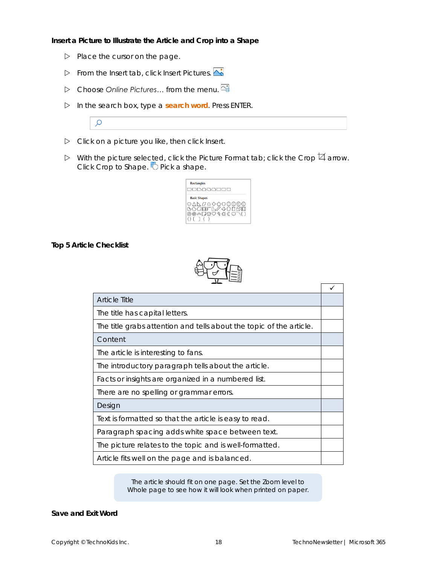<span id="page-13-0"></span>**Insert a Picture to Illustrate the Article and Crop into a Shape**

- $\triangleright$  Place the cursor on the page.
- From the *Insert* tab, click *Insert Pictures.*
- Choose *Online Pictures…* from the menu.
- In the search box, type a **search word**. Press ENTER.
- Click on a picture you like, then click *Insert.*
- $\triangleright$  With the picture selected, click the *Picture Format tab; click the Crop*  $\boxtimes$  arrow. **Click Crop to Shape. O** Pick a shape.



<span id="page-13-1"></span>**Top 5 Article Checklist**

 $\mathcal{Q}$ 



| <b>Article Title</b>                                                |  |
|---------------------------------------------------------------------|--|
| The title has capital letters.                                      |  |
| The title grabs attention and tells about the topic of the article. |  |
| Content                                                             |  |
| The article is interesting to fans.                                 |  |
| The introductory paragraph tells about the article.                 |  |
| Facts or insights are organized in a numbered list.                 |  |
| There are no spelling or grammar errors.                            |  |
| Design                                                              |  |
| Text is formatted so that the article is easy to read.              |  |
| Paragraph spacing adds white space between text.                    |  |
| The picture relates to the topic and is well-formatted.             |  |
| Article fits well on the page and is balanced.                      |  |

The article should fit on one page. Set the Zoom level to *Whole page* to see how it will look when printed on paper.

<span id="page-13-2"></span>**Save and Exit Word**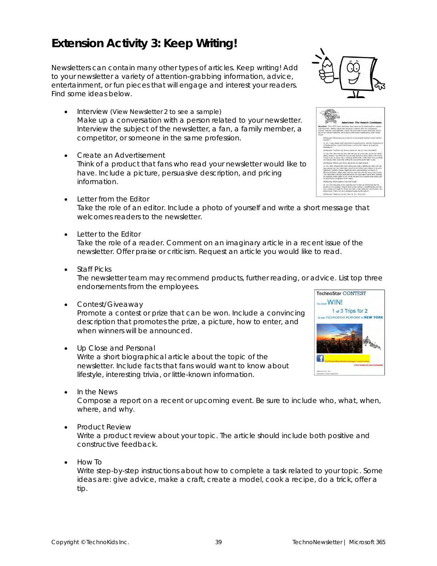## <span id="page-14-0"></span>**Extension Activity 3: Keep Writing!**

Newsletters can contain many other types of articles. Keep writing! Add to your newsletter a variety of attention-grabbing information, advice, entertainment, or fun pieces that will engage and interest your readers. Find some ideas below.

- *Interview* (View *Newsletter 2* to see a sample) Make up a conversation with a person related to your newsletter. Interview the subject of the newsletter, a fan, a family member, a competitor, or someone in the same profession.
- *Create an Advertisement* Think of a product that fans who read your newsletter would like to have. Include a picture, persuasive description, and pricing information.
- *Letter from the Editor* Take the role of an editor. Include a photo of yourself and write a short message that welcomes readers to the newsletter.
- *Letter to the Editor*

Take the role of a reader. Comment on an imaginary article in a recent issue of the newsletter. Offer praise or criticism. Request an article you would like to read.

• *Staff Picks*

The newsletter team may recommend products, further reading, or advice. List top three endorsements from the employees.

• *Contest/Giveaway*

Promote a contest or prize that can be won. Include a convincing description that promotes the prize, a picture, how to enter, and when winners will be announced.

• *Up Close and Personal*

Write a short biographical article about the topic of the newsletter. Include facts that fans would want to know about lifestyle, interesting trivia, or little-known information.

• *In the News*

Compose a report on a recent or upcoming event. Be sure to include who, what, when, where, and why.

• *Product Review*

Write a product review about your topic. The article should include both positive and constructive feedback.

• *How To* Write step-by-step instructions about how to complete a task related to your topic. Some ideas are: give advice, make a craft, create a model, cook a recipe, do a trick, offer a tip.



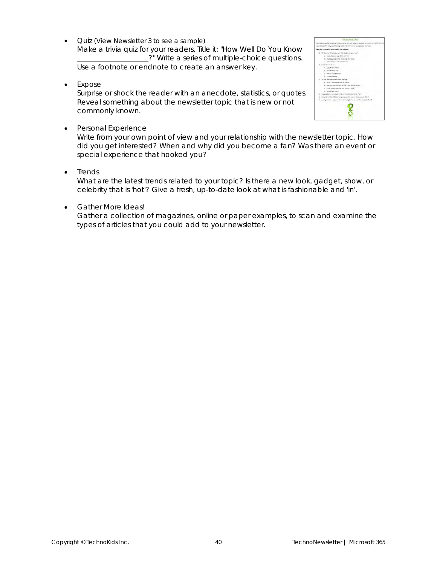• *Quiz* (View *Newsletter 3* to see a sample) Make a trivia quiz for your readers. Title it: "How Well Do You Know \_?" Write a series of multiple-choice questions.

Use a footnote or endnote to create an answer key.

• *Expose*

Surprise or shock the reader with an anecdote, statistics, or quotes. Reveal something about the newsletter topic that is new or not commonly known.



• *Personal Experience*

Write from your own point of view and your relationship with the newsletter topic. How did you get interested? When and why did you become a fan? Was there an event or special experience that hooked you?

• *Trends*

What are the latest trends related to your topic? Is there a new look, gadget, show, or celebrity that is 'hot'? Give a fresh, up-to-date look at what is fashionable and 'in'.

• *Gather More Ideas!*

Gather a collection of magazines, online or paper examples, to scan and examine the types of articles that you could add to your newsletter.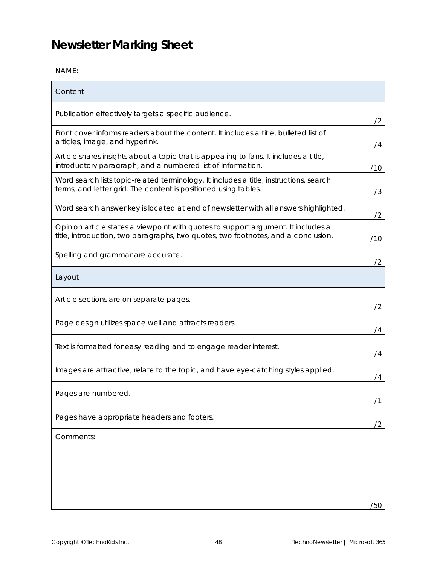## <span id="page-16-0"></span>**Newsletter Marking Sheet**

NAME:

| Content                                                                                                                                                                |     |
|------------------------------------------------------------------------------------------------------------------------------------------------------------------------|-----|
| Publication effectively targets a specific audience.                                                                                                                   | /2  |
| Front cover informs readers about the content. It includes a title, bulleted list of<br>articles, image, and hyperlink.                                                | /4  |
| Article shares insights about a topic that is appealing to fans. It includes a title,<br>introductory paragraph, and a numbered list of Information.                   | /10 |
| Word search lists topic-related terminology. It includes a title, instructions, search<br>terms, and letter grid. The content is positioned using tables.              | /3  |
| Word search answer key is located at end of newsletter with all answers highlighted.                                                                                   | /2  |
| Opinion article states a viewpoint with quotes to support argument. It includes a<br>title, introduction, two paragraphs, two quotes, two footnotes, and a conclusion. | /10 |
| Spelling and grammar are accurate.                                                                                                                                     | /2  |
| Layout                                                                                                                                                                 |     |
| Article sections are on separate pages.                                                                                                                                | /2  |
| Page design utilizes space well and attracts readers.                                                                                                                  | 74  |
| Text is formatted for easy reading and to engage reader interest.                                                                                                      | /4  |
| Images are attractive, relate to the topic, and have eye-catching styles applied.                                                                                      | /4  |
| Pages are numbered.                                                                                                                                                    |     |
| Pages have appropriate headers and footers.                                                                                                                            | /2  |
| Comments:                                                                                                                                                              |     |
|                                                                                                                                                                        |     |
|                                                                                                                                                                        |     |
|                                                                                                                                                                        | /50 |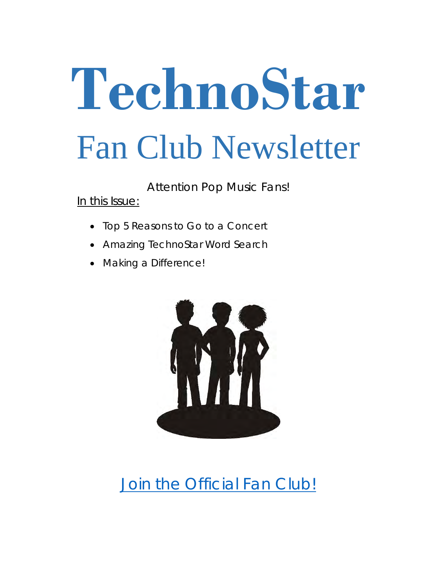# **TechnoStar** Fan Club Newsletter

Attention Pop Music Fans!

In this Issue:

- Top 5 Reasons to Go to a Concert
- Amazing TechnoStar Word Search
- Making a Difference!



[Join the Official Fan Club!](https://www.technokids.com/)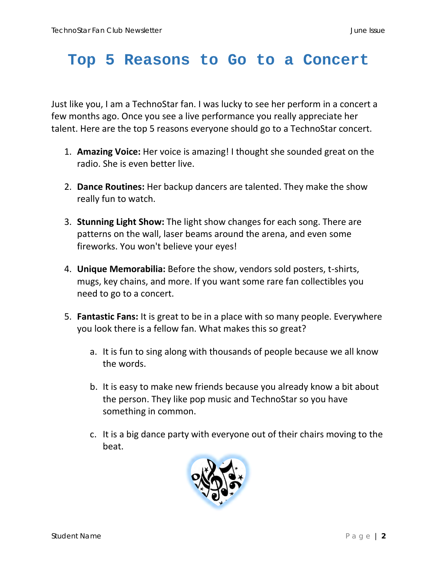## **Top 5 Reasons to Go to a Concert**

Just like you, I am a TechnoStar fan. I was lucky to see her perform in a concert a few months ago. Once you see a live performance you really appreciate her talent. Here are the top 5 reasons everyone should go to a TechnoStar concert.

- 1. **Amazing Voice:** Her voice is amazing! I thought she sounded great on the radio. She is even better live.
- 2. **Dance Routines:** Her backup dancers are talented. They make the show really fun to watch.
- 3. **Stunning Light Show:** The light show changes for each song. There are patterns on the wall, laser beams around the arena, and even some fireworks. You won't believe your eyes!
- 4. **Unique Memorabilia:** Before the show, vendors sold posters, t-shirts, mugs, key chains, and more. If you want some rare fan collectibles you need to go to a concert.
- 5. **Fantastic Fans:** It is great to be in a place with so many people. Everywhere you look there is a fellow fan. What makes this so great?
	- a. It is fun to sing along with thousands of people because we all know the words.
	- b. It is easy to make new friends because you already know a bit about the person. They like pop music and TechnoStar so you have something in common.
	- c. It is a big dance party with everyone out of their chairs moving to the beat.

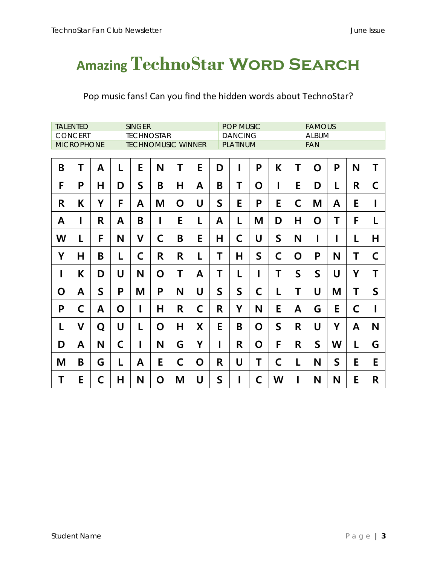## **Amazing TechnoStar Word Search**

### Pop music fans! Can you find the hidden words about TechnoStar?

| <b>TALENTED</b><br><b>SINGER</b><br><b>CONCERT</b> |   |             |   |                                                |   |   | POP MUSIC<br><b>DANCING</b> |             |              |   |             |              | <b>FAMOUS</b><br><b>ALBUM</b> |              |             |              |  |  |
|----------------------------------------------------|---|-------------|---|------------------------------------------------|---|---|-----------------------------|-------------|--------------|---|-------------|--------------|-------------------------------|--------------|-------------|--------------|--|--|
| <b>MICROPHONE</b>                                  |   |             |   | <b>TECHNOSTAR</b><br><b>TECHNOMUSIC WINNER</b> |   |   |                             |             | PLATINUM     |   |             |              |                               | <b>FAN</b>   |             |              |  |  |
| B                                                  | T | A           | L | E                                              | N | Τ | E                           | D           | I            | P | K           | Τ            | O                             | P            | N           | T            |  |  |
| F                                                  | P | н           | D | $\mathsf{S}$                                   | B | н | A                           | B           | T            | O | I           | E            | D                             | L            | R           | C            |  |  |
| R                                                  | K | Υ           | F | A                                              | Μ | O | U                           | $\mathsf S$ | E            | P | E           | C            | M                             | A            | E           | I            |  |  |
| A                                                  | I | R.          | A | B                                              | I | E | L                           | A           | L            | Μ | D           | Н            | O                             | Τ            | F           | L            |  |  |
| W                                                  | L | F           | N | $\mathsf{V}$                                   | C | B | E                           | н           | $\mathsf{C}$ | U | $\mathsf S$ | N            |                               |              | L           | Н            |  |  |
| Υ                                                  | н | B           | L | C                                              | R | R | L                           | Τ           | H            | S | C           | O            | P                             | N            | Τ           | C            |  |  |
| I                                                  | K | D           | U | N                                              | O | T | A                           | Τ           | L            | I | T           | $\mathsf{S}$ | $\mathsf{S}$                  | U            | Y           | Τ            |  |  |
| O                                                  | A | $\mathsf S$ | P | M                                              | P | N | U                           | $\mathsf S$ | $\mathsf{S}$ | C | L           | Τ            | U                             | M            | Τ           | $\mathsf{S}$ |  |  |
| P                                                  | C | A           | O | I                                              | н | R | $\mathsf C$                 | R           | Y            | N | E           | A            | G                             | E            | $\mathsf C$ | I            |  |  |
| L                                                  | V | Q           | U | L                                              | O | н | X                           | E           | B            | O | $\mathsf S$ | R            | U                             | Y            | A           | N            |  |  |
| D                                                  | A | N           | C | I                                              | N | G | Υ                           | $\mathbf I$ | R            | O | F           | R            | $\mathsf{S}$                  | W            | L           | G            |  |  |
| Μ                                                  | B | G           | L | A                                              | E | C | O                           | R           | U            | Τ | C           | L            | N                             | $\mathsf{S}$ | E           | E            |  |  |
| Τ                                                  | E | C           | Н | N                                              | O | M | U                           | $\mathsf S$ | I            | C | W           | I            | N                             | N            | E           | R            |  |  |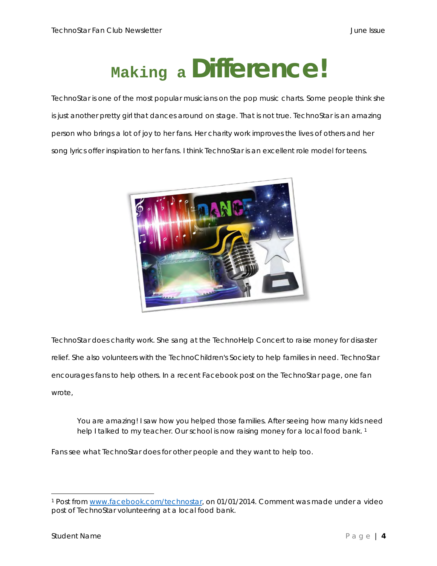## **Making a Difference!**

TechnoStar is one of the most popular musicians on the pop music charts. Some people think she is just another pretty girl that dances around on stage. That is not true. TechnoStar is an amazing person who brings a lot of joy to her fans. Her charity work improves the lives of others and her song lyrics offer inspiration to her fans. I think TechnoStar is an excellent role model for teens.



TechnoStar does charity work. She sang at the TechnoHelp Concert to raise money for disaster relief. She also volunteers with the TechnoChildren's Society to help families in need. TechnoStar encourages fans to help others. In a recent Facebook post on the TechnoStar page, one fan wrote,

You are amazing! I saw how you helped those families. After seeing how many kids need help I talked to my teacher. Our school is now raising money for a local food bank.<sup>1</sup>

Fans see what TechnoStar does for other people and they want to help too.

<sup>1</sup> Post from [www.facebook.com/technostar,](http://www.facebook.com/technostar) on 01/01/2014. Comment was made under a video post of TechnoStar volunteering at a local food bank.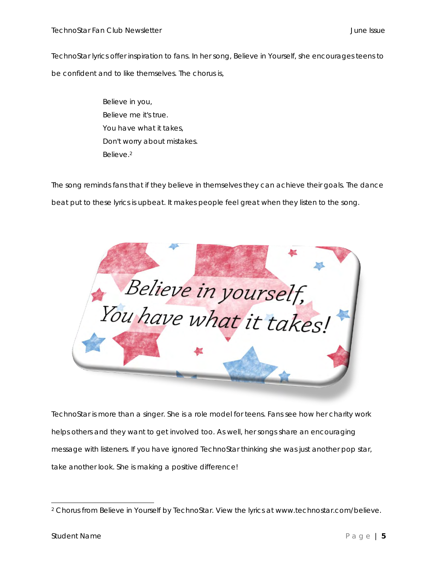TechnoStar lyrics offer inspiration to fans. In her song, Believe in Yourself, she encourages teens to be confident and to like themselves. The chorus is,

> Believe in you, Believe me it's true. You have what it takes, Don't worry about mistakes. Believe.<sup>2</sup>

The song reminds fans that if they believe in themselves they can achieve their goals. The dance beat put to these lyrics is upbeat. It makes people feel great when they listen to the song.



TechnoStar is more than a singer. She is a role model for teens. Fans see how her charity work helps others and they want to get involved too. As well, her songs share an encouraging message with listeners. If you have ignored TechnoStar thinking she was just another pop star, take another look. She is making a positive difference!

<sup>2</sup> Chorus from Believe in Yourself by TechnoStar. View the lyrics at www.technostar.com/believe.